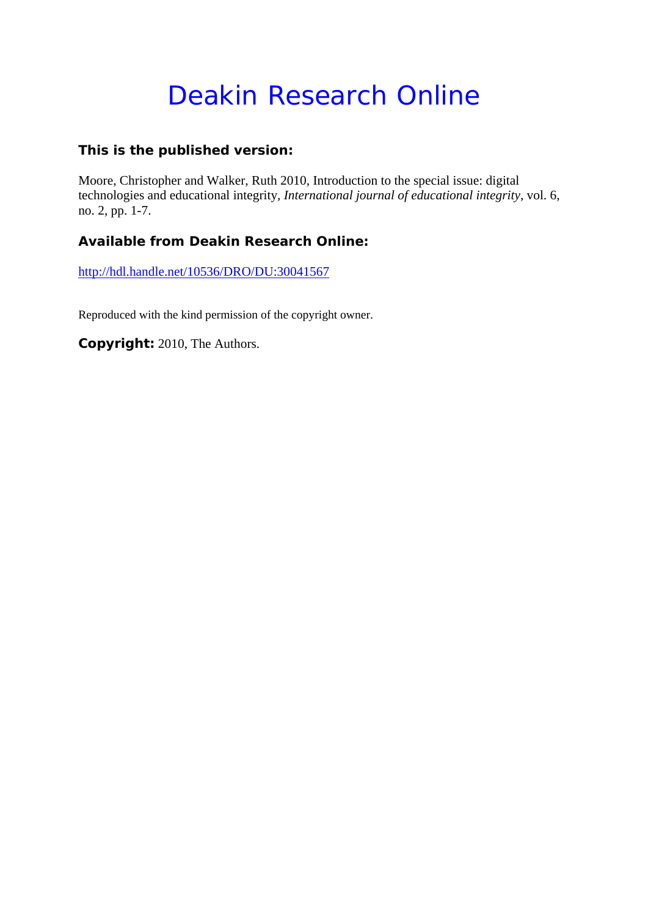# Deakin Research Online

### **This is the published version:**

Moore, Christopher and Walker, Ruth 2010, Introduction to the special issue: digital technologies and educational integrity*, International journal of educational integrity*, vol. 6, no. 2, pp. 1-7.

## **Available from Deakin Research Online:**

http://hdl.handle.net/10536/DRO/DU:30041567

Reproduced with the kind permission of the copyright owner.

**Copyright:** 2010, The Authors.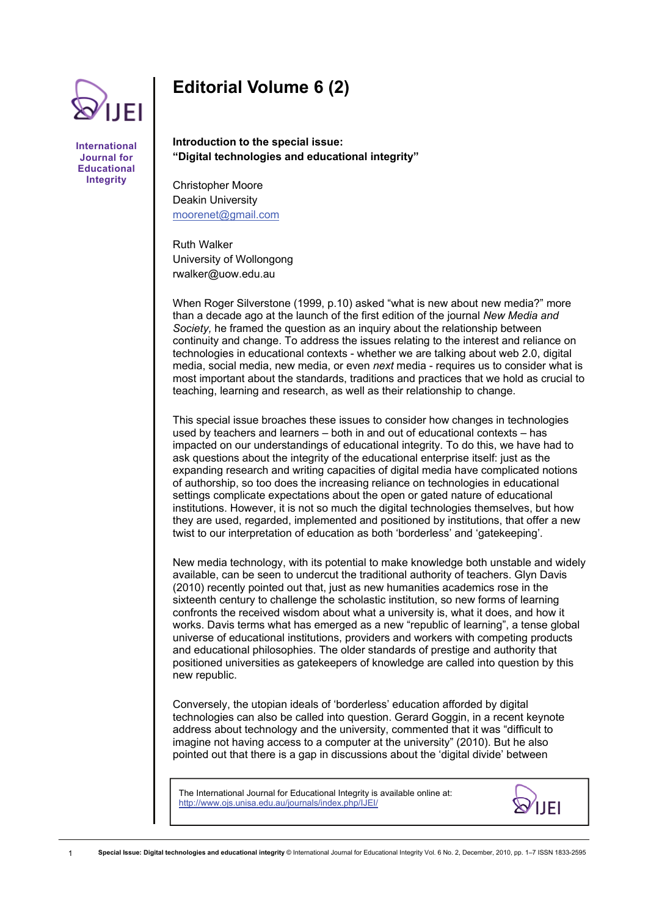

**International Journal for Educational Integrity** 

# **Editorial Volume 6 (2)**

**Introduction to the special issue: "Digital technologies and educational integrity"** 

Christopher Moore Deakin University [moorenet@gmail.com](mailto:moorenet@gmail.com)

Ruth Walker University of Wollongong rwalker@uow.edu.au

When Roger Silverstone (1999, p.10) asked "what is new about new media?" more than a decade ago at the launch of the first edition of the journal *New Media and Society,* he framed the question as an inquiry about the relationship between continuity and change. To address the issues relating to the interest and reliance on technologies in educational contexts - whether we are talking about web 2.0, digital media, social media, new media, or even *next* media - requires us to consider what is most important about the standards, traditions and practices that we hold as crucial to teaching, learning and research, as well as their relationship to change.

This special issue broaches these issues to consider how changes in technologies used by teachers and learners – both in and out of educational contexts – has impacted on our understandings of educational integrity. To do this, we have had to ask questions about the integrity of the educational enterprise itself: just as the expanding research and writing capacities of digital media have complicated notions of authorship, so too does the increasing reliance on technologies in educational settings complicate expectations about the open or gated nature of educational institutions. However, it is not so much the digital technologies themselves, but how they are used, regarded, implemented and positioned by institutions, that offer a new twist to our interpretation of education as both 'borderless' and 'gatekeeping'.

New media technology, with its potential to make knowledge both unstable and widely available, can be seen to undercut the traditional authority of teachers. Glyn Davis (2010) recently pointed out that, just as new humanities academics rose in the sixteenth century to challenge the scholastic institution, so new forms of learning confronts the received wisdom about what a university is, what it does, and how it works. Davis terms what has emerged as a new "republic of learning", a tense global universe of educational institutions, providers and workers with competing products and educational philosophies. The older standards of prestige and authority that positioned universities as gatekeepers of knowledge are called into question by this new republic.

Conversely, the utopian ideals of 'borderless' education afforded by digital technologies can also be called into question. Gerard Goggin, in a recent keynote address about technology and the university, commented that it was "difficult to imagine not having access to a computer at the university" (2010). But he also pointed out that there is a gap in discussions about the 'digital divide' between

The International Journal for Educational Integrity is available online at: http://www.ojs.unisa.edu.au/journals/index.php/IJEI/

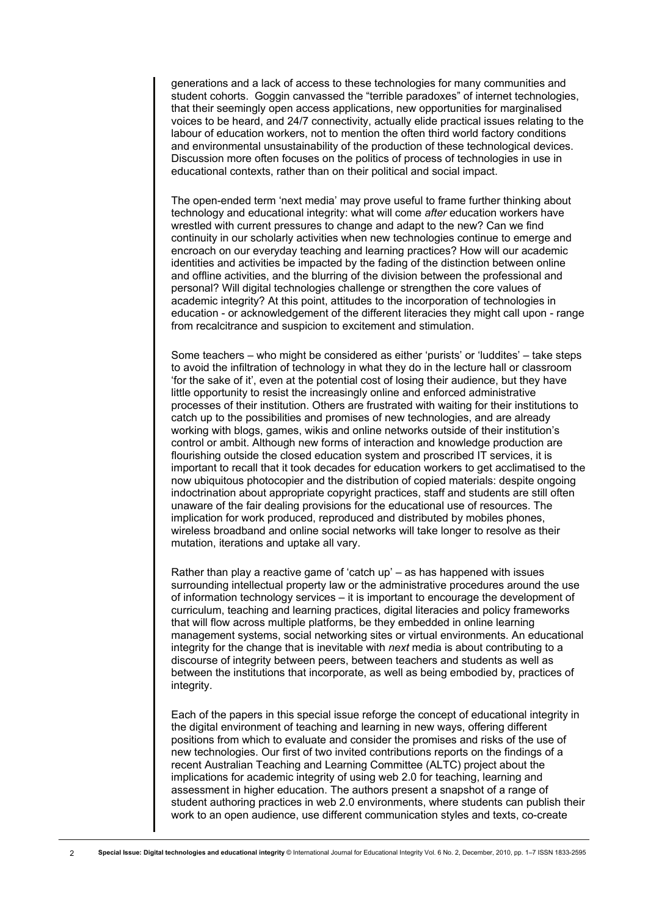generations and a lack of access to these technologies for many communities and student cohorts. Goggin canvassed the "terrible paradoxes" of internet technologies, that their seemingly open access applications, new opportunities for marginalised voices to be heard, and 24/7 connectivity, actually elide practical issues relating to the labour of education workers, not to mention the often third world factory conditions and environmental unsustainability of the production of these technological devices. Discussion more often focuses on the politics of process of technologies in use in educational contexts, rather than on their political and social impact.

The open-ended term 'next media' may prove useful to frame further thinking about technology and educational integrity: what will come *after* education workers have wrestled with current pressures to change and adapt to the new? Can we find continuity in our scholarly activities when new technologies continue to emerge and encroach on our everyday teaching and learning practices? How will our academic identities and activities be impacted by the fading of the distinction between online and offline activities, and the blurring of the division between the professional and personal? Will digital technologies challenge or strengthen the core values of academic integrity? At this point, attitudes to the incorporation of technologies in education - or acknowledgement of the different literacies they might call upon - range from recalcitrance and suspicion to excitement and stimulation.

Some teachers – who might be considered as either 'purists' or 'luddites' – take steps to avoid the infiltration of technology in what they do in the lecture hall or classroom 'for the sake of it', even at the potential cost of losing their audience, but they have little opportunity to resist the increasingly online and enforced administrative processes of their institution. Others are frustrated with waiting for their institutions to catch up to the possibilities and promises of new technologies, and are already working with blogs, games, wikis and online networks outside of their institution's control or ambit. Although new forms of interaction and knowledge production are flourishing outside the closed education system and proscribed IT services, it is important to recall that it took decades for education workers to get acclimatised to the now ubiquitous photocopier and the distribution of copied materials: despite ongoing indoctrination about appropriate copyright practices, staff and students are still often unaware of the fair dealing provisions for the educational use of resources. The implication for work produced, reproduced and distributed by mobiles phones, wireless broadband and online social networks will take longer to resolve as their mutation, iterations and uptake all vary.

Rather than play a reactive game of 'catch up' – as has happened with issues surrounding intellectual property law or the administrative procedures around the use of information technology services – it is important to encourage the development of curriculum, teaching and learning practices, digital literacies and policy frameworks that will flow across multiple platforms, be they embedded in online learning management systems, social networking sites or virtual environments. An educational integrity for the change that is inevitable with *next* media is about contributing to a discourse of integrity between peers, between teachers and students as well as between the institutions that incorporate, as well as being embodied by, practices of integrity.

Each of the papers in this special issue reforge the concept of educational integrity in the digital environment of teaching and learning in new ways, offering different positions from which to evaluate and consider the promises and risks of the use of new technologies. Our first of two invited contributions reports on the findings of a recent Australian Teaching and Learning Committee (ALTC) project about the implications for academic integrity of using web 2.0 for teaching, learning and assessment in higher education. The authors present a snapshot of a range of student authoring practices in web 2.0 environments, where students can publish their work to an open audience, use different communication styles and texts, co-create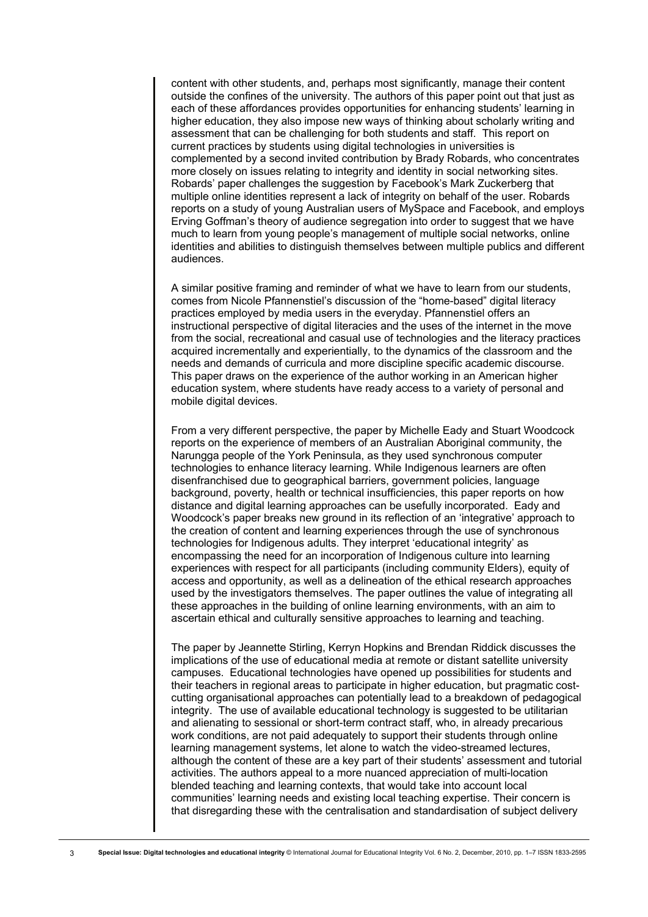content with other students, and, perhaps most significantly, manage their content outside the confines of the university. The authors of this paper point out that just as each of these affordances provides opportunities for enhancing students' learning in higher education, they also impose new ways of thinking about scholarly writing and assessment that can be challenging for both students and staff. This report on current practices by students using digital technologies in universities is complemented by a second invited contribution by Brady Robards, who concentrates more closely on issues relating to integrity and identity in social networking sites. Robards' paper challenges the suggestion by Facebook's Mark Zuckerberg that multiple online identities represent a lack of integrity on behalf of the user. Robards reports on a study of young Australian users of MySpace and Facebook, and employs Erving Goffman's theory of audience segregation into order to suggest that we have much to learn from young people's management of multiple social networks, online identities and abilities to distinguish themselves between multiple publics and different audiences.

A similar positive framing and reminder of what we have to learn from our students, comes from Nicole Pfannenstiel's discussion of the "home-based" digital literacy practices employed by media users in the everyday. Pfannenstiel offers an instructional perspective of digital literacies and the uses of the internet in the move from the social, recreational and casual use of technologies and the literacy practices acquired incrementally and experientially, to the dynamics of the classroom and the needs and demands of curricula and more discipline specific academic discourse. This paper draws on the experience of the author working in an American higher education system, where students have ready access to a variety of personal and mobile digital devices.

From a very different perspective, the paper by Michelle Eady and Stuart Woodcock reports on the experience of members of an Australian Aboriginal community, the Narungga people of the York Peninsula, as they used synchronous computer technologies to enhance literacy learning. While Indigenous learners are often disenfranchised due to geographical barriers, government policies, language background, poverty, health or technical insufficiencies, this paper reports on how distance and digital learning approaches can be usefully incorporated. Eady and Woodcock's paper breaks new ground in its reflection of an 'integrative' approach to the creation of content and learning experiences through the use of synchronous technologies for Indigenous adults. They interpret 'educational integrity' as encompassing the need for an incorporation of Indigenous culture into learning experiences with respect for all participants (including community Elders), equity of access and opportunity, as well as a delineation of the ethical research approaches used by the investigators themselves. The paper outlines the value of integrating all these approaches in the building of online learning environments, with an aim to ascertain ethical and culturally sensitive approaches to learning and teaching.

The paper by Jeannette Stirling, Kerryn Hopkins and Brendan Riddick discusses the implications of the use of educational media at remote or distant satellite university campuses. Educational technologies have opened up possibilities for students and their teachers in regional areas to participate in higher education, but pragmatic costcutting organisational approaches can potentially lead to a breakdown of pedagogical integrity. The use of available educational technology is suggested to be utilitarian and alienating to sessional or short-term contract staff, who, in already precarious work conditions, are not paid adequately to support their students through online learning management systems, let alone to watch the video-streamed lectures, although the content of these are a key part of their students' assessment and tutorial activities. The authors appeal to a more nuanced appreciation of multi-location blended teaching and learning contexts, that would take into account local communities' learning needs and existing local teaching expertise. Their concern is that disregarding these with the centralisation and standardisation of subject delivery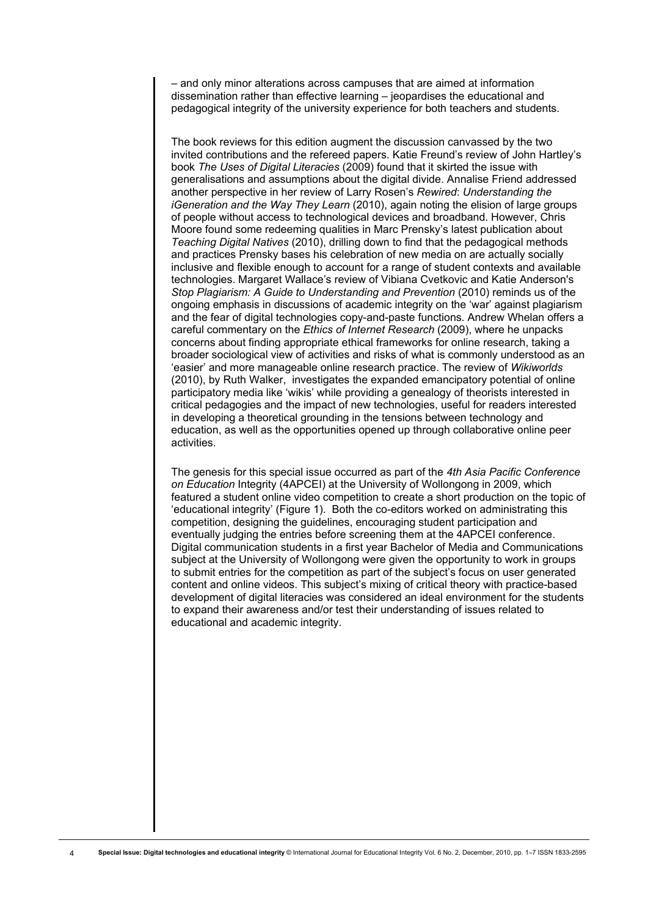– and only minor alterations across campuses that are aimed at information dissemination rather than effective learning – jeopardises the educational and pedagogical integrity of the university experience for both teachers and students.

The book reviews for this edition augment the discussion canvassed by the two invited contributions and the refereed papers. Katie Freund's review of John Hartley's book *The Uses of Digital Literacies* (2009) found that it skirted the issue with generalisations and assumptions about the digital divide. Annalise Friend addressed another perspective in her review of Larry Rosen's *Rewired*: *Understanding the iGeneration and the Way They Learn* (2010), again noting the elision of large groups of people without access to technological devices and broadband. However, Chris Moore found some redeeming qualities in Marc Prensky's latest publication about *Teaching Digital Natives* (2010), drilling down to find that the pedagogical methods and practices Prensky bases his celebration of new media on are actually socially inclusive and flexible enough to account for a range of student contexts and available technologies. Margaret Wallace's review of Vibiana Cvetkovic and Katie Anderson's *Stop Plagiarism: A Guide to Understanding and Prevention* (2010) reminds us of the ongoing emphasis in discussions of academic integrity on the 'war' against plagiarism and the fear of digital technologies copy-and-paste functions. Andrew Whelan offers a careful commentary on the *Ethics of Internet Research* (2009), where he unpacks concerns about finding appropriate ethical frameworks for online research, taking a broader sociological view of activities and risks of what is commonly understood as an 'easier' and more manageable online research practice. The review of *Wikiworlds* (2010), by Ruth Walker, investigates the expanded emancipatory potential of online participatory media like 'wikis' while providing a genealogy of theorists interested in critical pedagogies and the impact of new technologies, useful for readers interested in developing a theoretical grounding in the tensions between technology and education, as well as the opportunities opened up through collaborative online peer activities.

The genesis for this special issue occurred as part of the *4th Asia Pacific Conference on Education* Integrity (4APCEI) at the University of Wollongong in 2009, which featured a student online video competition to create a short production on the topic of 'educational integrity' (Figure 1). Both the co-editors worked on administrating this competition, designing the guidelines, encouraging student participation and eventually judging the entries before screening them at the 4APCEI conference. Digital communication students in a first year Bachelor of Media and Communications subject at the University of Wollongong were given the opportunity to work in groups to submit entries for the competition as part of the subject's focus on user generated content and online videos. This subject's mixing of critical theory with practice-based development of digital literacies was considered an ideal environment for the students to expand their awareness and/or test their understanding of issues related to educational and academic integrity.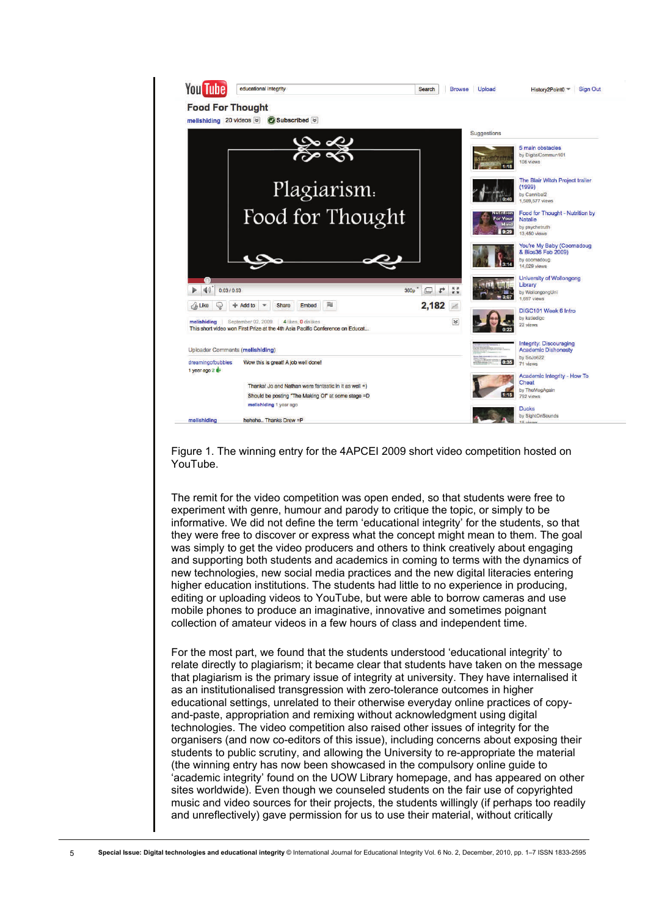

Figure 1. The winning entry for the 4APCEI 2009 short video competition hosted on YouTube.

The remit for the video competition was open ended, so that students were free to experiment with genre, humour and parody to critique the topic, or simply to be informative. We did not define the term 'educational integrity' for the students, so that they were free to discover or express what the concept might mean to them. The goal was simply to get the video producers and others to think creatively about engaging and supporting both students and academics in coming to terms with the dynamics of new technologies, new social media practices and the new digital literacies entering higher education institutions. The students had little to no experience in producing, editing or uploading videos to YouTube, but were able to borrow cameras and use mobile phones to produce an imaginative, innovative and sometimes poignant collection of amateur videos in a few hours of class and independent time.

For the most part, we found that the students understood 'educational integrity' to relate directly to plagiarism; it became clear that students have taken on the message that plagiarism is the primary issue of integrity at university. They have internalised it as an institutionalised transgression with zero-tolerance outcomes in higher educational settings, unrelated to their otherwise everyday online practices of copyand-paste, appropriation and remixing without acknowledgment using digital technologies. The video competition also raised other issues of integrity for the organisers (and now co-editors of this issue), including concerns about exposing their students to public scrutiny, and allowing the University to re-appropriate the material (the winning entry has now been showcased in the compulsory online guide to 'academic integrity' found on the UOW Library homepage, and has appeared on other sites worldwide). Even though we counseled students on the fair use of copyrighted music and video sources for their projects, the students willingly (if perhaps too readily and unreflectively) gave permission for us to use their material, without critically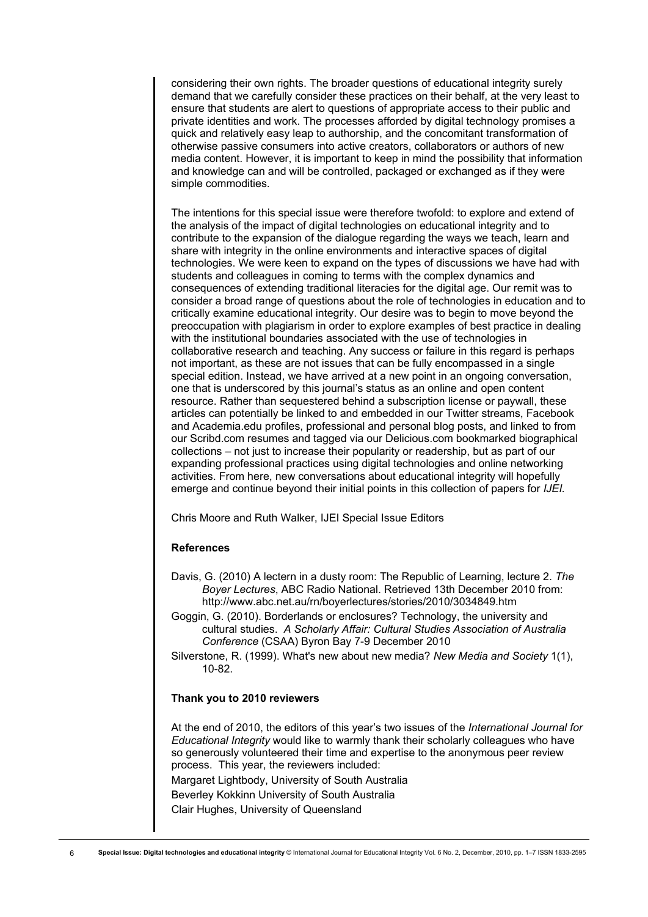considering their own rights. The broader questions of educational integrity surely demand that we carefully consider these practices on their behalf, at the very least to ensure that students are alert to questions of appropriate access to their public and private identities and work. The processes afforded by digital technology promises a quick and relatively easy leap to authorship, and the concomitant transformation of otherwise passive consumers into active creators, collaborators or authors of new media content. However, it is important to keep in mind the possibility that information and knowledge can and will be controlled, packaged or exchanged as if they were simple commodities.

The intentions for this special issue were therefore twofold: to explore and extend of the analysis of the impact of digital technologies on educational integrity and to contribute to the expansion of the dialogue regarding the ways we teach, learn and share with integrity in the online environments and interactive spaces of digital technologies. We were keen to expand on the types of discussions we have had with students and colleagues in coming to terms with the complex dynamics and consequences of extending traditional literacies for the digital age. Our remit was to consider a broad range of questions about the role of technologies in education and to critically examine educational integrity. Our desire was to begin to move beyond the preoccupation with plagiarism in order to explore examples of best practice in dealing with the institutional boundaries associated with the use of technologies in collaborative research and teaching. Any success or failure in this regard is perhaps not important, as these are not issues that can be fully encompassed in a single special edition. Instead, we have arrived at a new point in an ongoing conversation, one that is underscored by this journal's status as an online and open content resource. Rather than sequestered behind a subscription license or paywall, these articles can potentially be linked to and embedded in our Twitter streams, Facebook and Academia.edu profiles, professional and personal blog posts, and linked to from our Scribd.com resumes and tagged via our Delicious.com bookmarked biographical collections – not just to increase their popularity or readership, but as part of our expanding professional practices using digital technologies and online networking activities. From here, new conversations about educational integrity will hopefully emerge and continue beyond their initial points in this collection of papers for *IJEI.* 

Chris Moore and Ruth Walker, IJEI Special Issue Editors

### **References**

- Davis, G. (2010) A lectern in a dusty room: The Republic of Learning, lecture 2. *The Boyer Lectures*, ABC Radio National. Retrieved 13th December 2010 from: http://www.abc.net.au/rn/boyerlectures/stories/2010/3034849.htm
- Goggin, G. (2010). Borderlands or enclosures? Technology, the university and cultural studies. *A Scholarly Affair: Cultural Studies Association of Australia Conference* (CSAA) Byron Bay 7-9 December 2010
- Silverstone, R. (1999). What's new about new media? *New Media and Society* 1(1), 10-82.

#### **Thank you to 2010 reviewers**

At the end of 2010, the editors of this year's two issues of the *International Journal for Educational Integrity* would like to warmly thank their scholarly colleagues who have so generously volunteered their time and expertise to the anonymous peer review process. This year, the reviewers included: Margaret Lightbody, University of South Australi[a](http://www.google.com/url?q=https%3A%2F%2Fstaffmail.uow.edu.au%2Fowa%2Fredir.aspx%3FC%3D4529aa1ad0b246c68ffc45fd0dac4dea%26URL%3Dmailto%253amargaret.lightbody%2540unisa.edu.au&sa=D&sntz=1&usg=AFQjCNGSbUVlVRPQhkfKdJzetIKcYcxLeg)  Beverley Kokkin[n](http://www.google.com/url?q=https%3A%2F%2Fstaffmail.uow.edu.au%2Fowa%2Fredir.aspx%3FC%3D4529aa1ad0b246c68ffc45fd0dac4dea%26URL%3Dmailto%253aBeverley.kokkinn%2540unisa.edu.au&sa=D&sntz=1&usg=AFQjCNEi550UmDvZb6RW2cIolFbTP6dkNQ) University of South Australi[a](http://www.google.com/url?q=https%3A%2F%2Fstaffmail.uow.edu.au%2Fowa%2Fredir.aspx%3FC%3D4529aa1ad0b246c68ffc45fd0dac4dea%26URL%3Dmailto%253amargaret.lightbody%2540unisa.edu.au&sa=D&sntz=1&usg=AFQjCNGSbUVlVRPQhkfKdJzetIKcYcxLeg)  Clair Hughes, University of Queensland